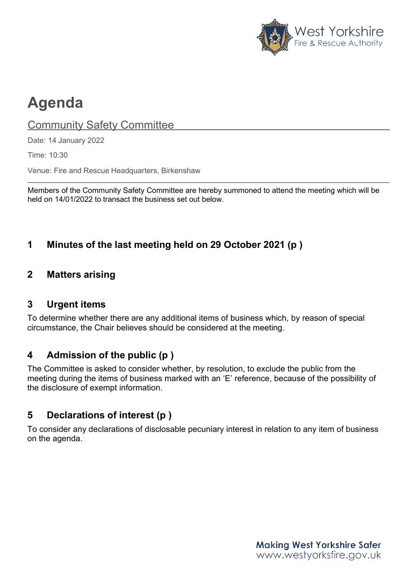

# **Agenda**

## **Community Safety Committee**

Date: 14 January 2022

Time: 10:30

Venue: Fire and Rescue Headquarters, Birkenshaw

Members of the Community Safety Committee are hereby summoned to attend the meeting which will be held on 14/01/2022 to transact the business set out below.

# **1 Minutes of the last meeting held on 29 October 2021 (p )**

## **2 Matters arising**

## **3 Urgent items**

To determine whether there are any additional items of business which, by reason of special circumstance, the Chair believes should be considered at the meeting.

## **4 Admission of the public (p )**

The Committee is asked to consider whether, by resolution, to exclude the public from the meeting during the items of business marked with an 'E' reference, because of the possibility of the disclosure of exempt information.

## **5 Declarations of interest (p )**

To consider any declarations of disclosable pecuniary interest in relation to any item of business on the agenda.